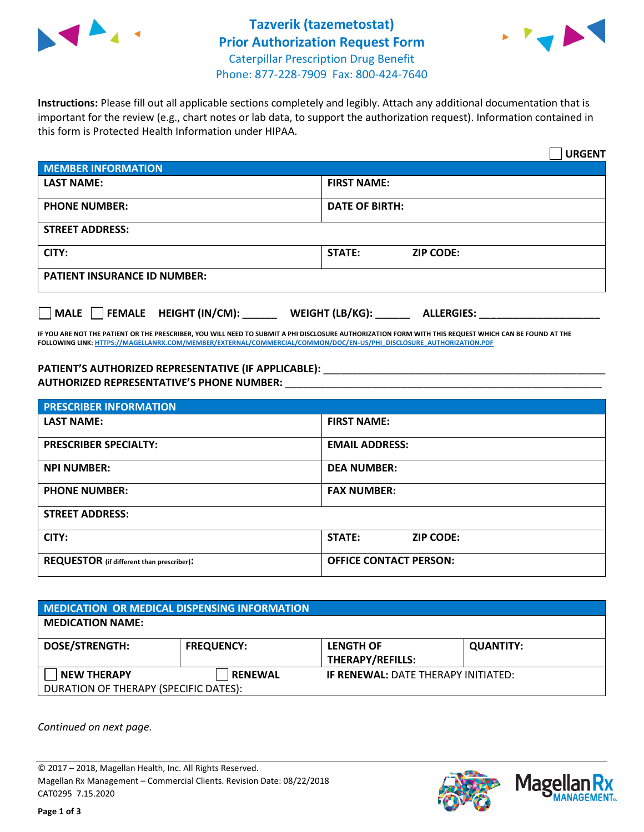



**Instructions:** Please fill out all applicable sections completely and legibly. Attach any additional documentation that is important for the review (e.g., chart notes or lab data, to support the authorization request). Information contained in this form is Protected Health Information under HIPAA.

|                                                | <b>URGENT</b>                        |  |  |  |
|------------------------------------------------|--------------------------------------|--|--|--|
| <b>MEMBER INFORMATION</b>                      |                                      |  |  |  |
| <b>LAST NAME:</b>                              | <b>FIRST NAME:</b>                   |  |  |  |
| <b>PHONE NUMBER:</b>                           | <b>DATE OF BIRTH:</b>                |  |  |  |
| <b>STREET ADDRESS:</b>                         |                                      |  |  |  |
| CITY:                                          | <b>STATE:</b><br><b>ZIP CODE:</b>    |  |  |  |
| <b>PATIENT INSURANCE ID NUMBER:</b>            |                                      |  |  |  |
| $\Box$ FEMALE HEIGHT (IN/CM): _<br><b>MALE</b> | WEIGHT (LB/KG):<br><b>ALLERGIES:</b> |  |  |  |

**IF YOU ARE NOT THE PATIENT OR THE PRESCRIBER, YOU WILL NEED TO SUBMIT A PHI DISCLOSURE AUTHORIZATION FORM WITH THIS REQUEST WHICH CAN BE FOUND AT THE FOLLOWING LINK[: HTTPS://MAGELLANRX.COM/MEMBER/EXTERNAL/COMMERCIAL/COMMON/DOC/EN-US/PHI\\_DISCLOSURE\\_AUTHORIZATION.PDF](https://magellanrx.com/member/external/commercial/common/doc/en-us/PHI_Disclosure_Authorization.pdf)**

PATIENT'S AUTHORIZED REPRESENTATIVE (IF APPLICABLE): \_\_\_\_\_\_\_\_\_\_\_\_\_\_\_\_\_\_\_\_\_\_\_\_\_\_\_ **AUTHORIZED REPRESENTATIVE'S PHONE NUMBER:** \_\_\_\_\_\_\_\_\_\_\_\_\_\_\_\_\_\_\_\_\_\_\_\_\_\_\_\_\_\_\_\_\_\_\_\_\_\_\_\_\_\_\_\_\_\_\_\_\_\_\_\_\_\_\_

| <b>PRESCRIBER INFORMATION</b>             |                                   |  |  |  |
|-------------------------------------------|-----------------------------------|--|--|--|
| <b>LAST NAME:</b>                         | <b>FIRST NAME:</b>                |  |  |  |
| <b>PRESCRIBER SPECIALTY:</b>              | <b>EMAIL ADDRESS:</b>             |  |  |  |
| <b>NPI NUMBER:</b>                        | <b>DEA NUMBER:</b>                |  |  |  |
| <b>PHONE NUMBER:</b>                      | <b>FAX NUMBER:</b>                |  |  |  |
| <b>STREET ADDRESS:</b>                    |                                   |  |  |  |
| CITY:                                     | <b>STATE:</b><br><b>ZIP CODE:</b> |  |  |  |
| REQUESTOR (if different than prescriber): | <b>OFFICE CONTACT PERSON:</b>     |  |  |  |

| <b>MEDICATION OR MEDICAL DISPENSING INFORMATION</b> |                   |                                            |                  |  |
|-----------------------------------------------------|-------------------|--------------------------------------------|------------------|--|
| <b>MEDICATION NAME:</b>                             |                   |                                            |                  |  |
| <b>DOSE/STRENGTH:</b>                               | <b>FREQUENCY:</b> | <b>LENGTH OF</b>                           | <b>QUANTITY:</b> |  |
|                                                     |                   | <b>THERAPY/REFILLS:</b>                    |                  |  |
| <b>NEW THERAPY</b>                                  | <b>RENEWAL</b>    | <b>IF RENEWAL: DATE THERAPY INITIATED:</b> |                  |  |
| DURATION OF THERAPY (SPECIFIC DATES):               |                   |                                            |                  |  |

*Continued on next page.*

© 2017 – 2018, Magellan Health, Inc. All Rights Reserved. Magellan Rx Management – Commercial Clients. Revision Date: 08/22/2018 CAT0295 7.15.2020



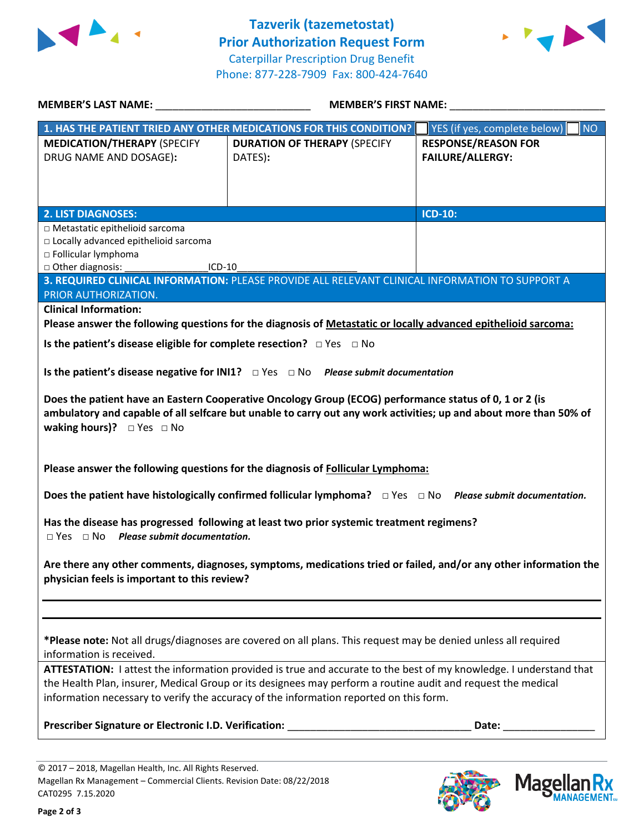



| MEMBER'S LAST NAME: NAME:                                                                                          | <b>MEMBER'S FIRST NAME:</b>                                                                                                 |                                    |  |  |
|--------------------------------------------------------------------------------------------------------------------|-----------------------------------------------------------------------------------------------------------------------------|------------------------------------|--|--|
| 1. HAS THE PATIENT TRIED ANY OTHER MEDICATIONS FOR THIS CONDITION?                                                 |                                                                                                                             | YES (if yes, complete below)<br>NO |  |  |
| <b>MEDICATION/THERAPY (SPECIFY</b>                                                                                 | <b>DURATION OF THERAPY (SPECIFY</b>                                                                                         | <b>RESPONSE/REASON FOR</b>         |  |  |
| DRUG NAME AND DOSAGE):                                                                                             | DATES):                                                                                                                     | <b>FAILURE/ALLERGY:</b>            |  |  |
|                                                                                                                    |                                                                                                                             |                                    |  |  |
|                                                                                                                    |                                                                                                                             |                                    |  |  |
| <b>2. LIST DIAGNOSES:</b>                                                                                          |                                                                                                                             | <b>ICD-10:</b>                     |  |  |
| □ Metastatic epithelioid sarcoma                                                                                   |                                                                                                                             |                                    |  |  |
| □ Locally advanced epithelioid sarcoma                                                                             |                                                                                                                             |                                    |  |  |
| □ Follicular lymphoma                                                                                              |                                                                                                                             |                                    |  |  |
| □ Other diagnosis:<br>$ICD-10$                                                                                     |                                                                                                                             |                                    |  |  |
|                                                                                                                    | 3. REQUIRED CLINICAL INFORMATION: PLEASE PROVIDE ALL RELEVANT CLINICAL INFORMATION TO SUPPORT A                             |                                    |  |  |
| PRIOR AUTHORIZATION.                                                                                               |                                                                                                                             |                                    |  |  |
| <b>Clinical Information:</b>                                                                                       | Please answer the following questions for the diagnosis of Metastatic or locally advanced epithelioid sarcoma:              |                                    |  |  |
|                                                                                                                    |                                                                                                                             |                                    |  |  |
| Is the patient's disease eligible for complete resection? $\Box$ Yes $\Box$ No                                     |                                                                                                                             |                                    |  |  |
|                                                                                                                    |                                                                                                                             |                                    |  |  |
|                                                                                                                    | Is the patient's disease negative for INI1? $\Box$ Yes $\Box$ No Please submit documentation                                |                                    |  |  |
|                                                                                                                    | Does the patient have an Eastern Cooperative Oncology Group (ECOG) performance status of 0, 1 or 2 (is                      |                                    |  |  |
|                                                                                                                    | ambulatory and capable of all selfcare but unable to carry out any work activities; up and about more than 50% of           |                                    |  |  |
| waking hours)? $\Box$ Yes $\Box$ No                                                                                |                                                                                                                             |                                    |  |  |
|                                                                                                                    |                                                                                                                             |                                    |  |  |
|                                                                                                                    |                                                                                                                             |                                    |  |  |
|                                                                                                                    | Please answer the following questions for the diagnosis of Follicular Lymphoma:                                             |                                    |  |  |
|                                                                                                                    |                                                                                                                             |                                    |  |  |
|                                                                                                                    | Does the patient have histologically confirmed follicular lymphoma? $\square$ Yes $\square$ No Please submit documentation. |                                    |  |  |
|                                                                                                                    |                                                                                                                             |                                    |  |  |
| Has the disease has progressed following at least two prior systemic treatment regimens?                           |                                                                                                                             |                                    |  |  |
| $\Box$ Yes $\Box$ No Please submit documentation.                                                                  |                                                                                                                             |                                    |  |  |
| Are there any other comments, diagnoses, symptoms, medications tried or failed, and/or any other information the   |                                                                                                                             |                                    |  |  |
| physician feels is important to this review?                                                                       |                                                                                                                             |                                    |  |  |
|                                                                                                                    |                                                                                                                             |                                    |  |  |
|                                                                                                                    |                                                                                                                             |                                    |  |  |
|                                                                                                                    |                                                                                                                             |                                    |  |  |
| *Please note: Not all drugs/diagnoses are covered on all plans. This request may be denied unless all required     |                                                                                                                             |                                    |  |  |
| information is received.                                                                                           |                                                                                                                             |                                    |  |  |
| ATTESTATION: I attest the information provided is true and accurate to the best of my knowledge. I understand that |                                                                                                                             |                                    |  |  |
| the Health Plan, insurer, Medical Group or its designees may perform a routine audit and request the medical       |                                                                                                                             |                                    |  |  |
| information necessary to verify the accuracy of the information reported on this form.                             |                                                                                                                             |                                    |  |  |
|                                                                                                                    |                                                                                                                             |                                    |  |  |
|                                                                                                                    |                                                                                                                             |                                    |  |  |
|                                                                                                                    |                                                                                                                             |                                    |  |  |